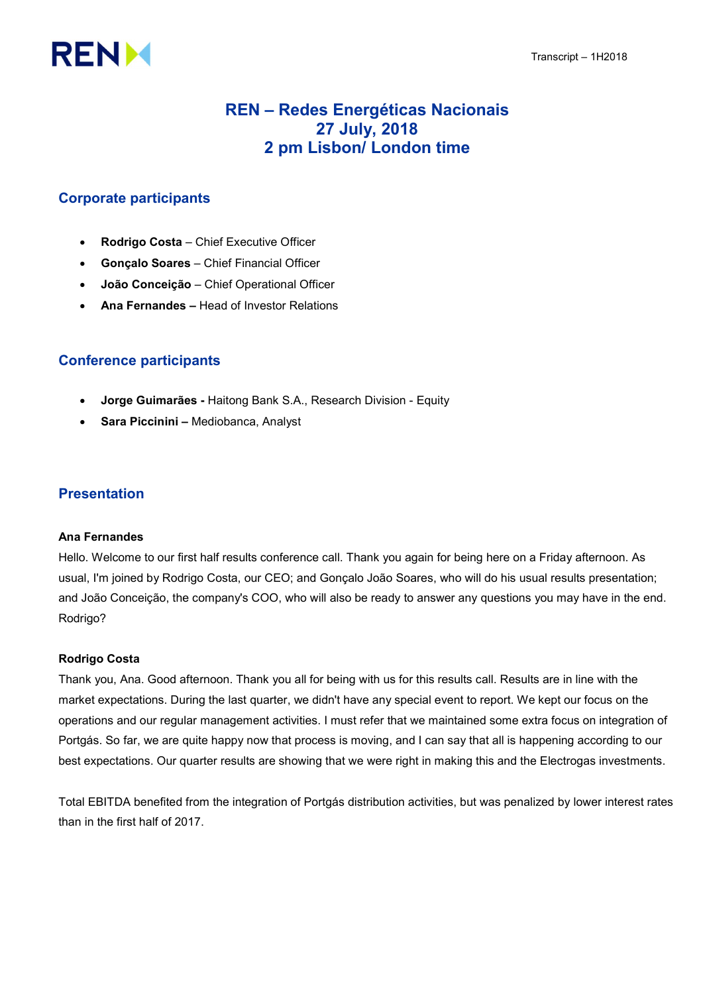# **RENM**

## REN – Redes Energéticas Nacionais 27 July, 2018 2 pm Lisbon/ London time

## Corporate participants

- Rodrigo Costa Chief Executive Officer
- Gonçalo Soares Chief Financial Officer
- João Conceição Chief Operational Officer
- Ana Fernandes Head of Investor Relations

## Conference participants

- Jorge Guimarães Haitong Bank S.A., Research Division Equity
- Sara Piccinini Mediobanca, Analyst

### Presentation

#### Ana Fernandes

Hello. Welcome to our first half results conference call. Thank you again for being here on a Friday afternoon. As usual, I'm joined by Rodrigo Costa, our CEO; and Gonçalo João Soares, who will do his usual results presentation; and João Conceição, the company's COO, who will also be ready to answer any questions you may have in the end. Rodrigo?

#### Rodrigo Costa

Thank you, Ana. Good afternoon. Thank you all for being with us for this results call. Results are in line with the market expectations. During the last quarter, we didn't have any special event to report. We kept our focus on the operations and our regular management activities. I must refer that we maintained some extra focus on integration of Portgás. So far, we are quite happy now that process is moving, and I can say that all is happening according to our best expectations. Our quarter results are showing that we were right in making this and the Electrogas investments.

Total EBITDA benefited from the integration of Portgás distribution activities, but was penalized by lower interest rates than in the first half of 2017.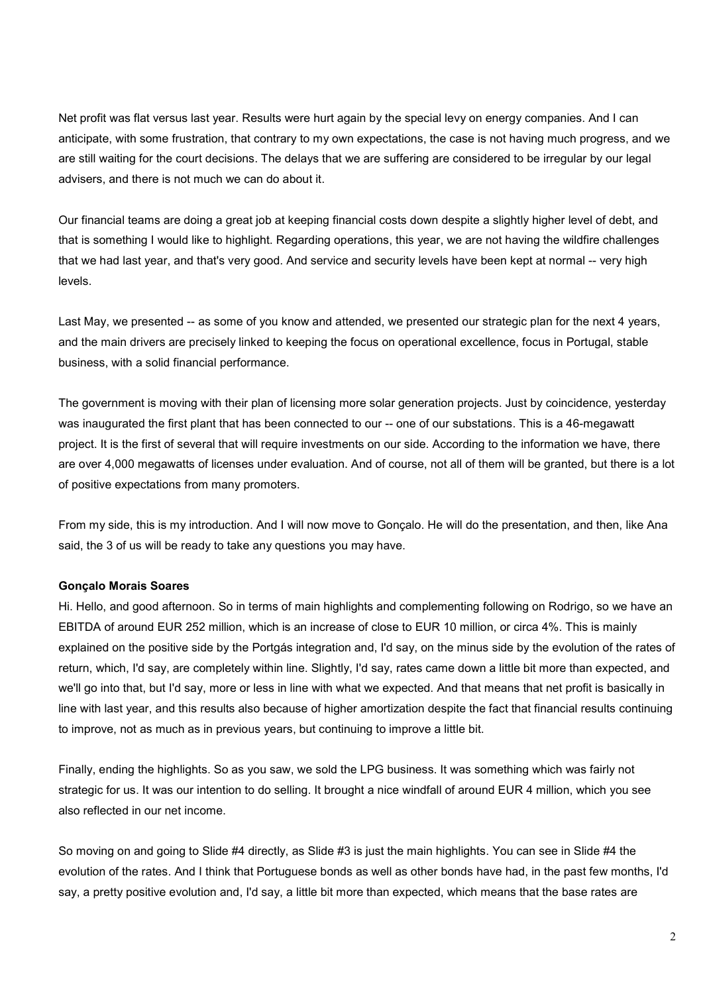Net profit was flat versus last year. Results were hurt again by the special levy on energy companies. And I can anticipate, with some frustration, that contrary to my own expectations, the case is not having much progress, and we are still waiting for the court decisions. The delays that we are suffering are considered to be irregular by our legal advisers, and there is not much we can do about it.

Our financial teams are doing a great job at keeping financial costs down despite a slightly higher level of debt, and that is something I would like to highlight. Regarding operations, this year, we are not having the wildfire challenges that we had last year, and that's very good. And service and security levels have been kept at normal -- very high levels.

Last May, we presented -- as some of you know and attended, we presented our strategic plan for the next 4 years, and the main drivers are precisely linked to keeping the focus on operational excellence, focus in Portugal, stable business, with a solid financial performance.

The government is moving with their plan of licensing more solar generation projects. Just by coincidence, yesterday was inaugurated the first plant that has been connected to our -- one of our substations. This is a 46-megawatt project. It is the first of several that will require investments on our side. According to the information we have, there are over 4,000 megawatts of licenses under evaluation. And of course, not all of them will be granted, but there is a lot of positive expectations from many promoters.

From my side, this is my introduction. And I will now move to Gonçalo. He will do the presentation, and then, like Ana said, the 3 of us will be ready to take any questions you may have.

#### Gonçalo Morais Soares

Hi. Hello, and good afternoon. So in terms of main highlights and complementing following on Rodrigo, so we have an EBITDA of around EUR 252 million, which is an increase of close to EUR 10 million, or circa 4%. This is mainly explained on the positive side by the Portgás integration and, I'd say, on the minus side by the evolution of the rates of return, which, I'd say, are completely within line. Slightly, I'd say, rates came down a little bit more than expected, and we'll go into that, but I'd say, more or less in line with what we expected. And that means that net profit is basically in line with last year, and this results also because of higher amortization despite the fact that financial results continuing to improve, not as much as in previous years, but continuing to improve a little bit.

Finally, ending the highlights. So as you saw, we sold the LPG business. It was something which was fairly not strategic for us. It was our intention to do selling. It brought a nice windfall of around EUR 4 million, which you see also reflected in our net income.

So moving on and going to Slide #4 directly, as Slide #3 is just the main highlights. You can see in Slide #4 the evolution of the rates. And I think that Portuguese bonds as well as other bonds have had, in the past few months, I'd say, a pretty positive evolution and, I'd say, a little bit more than expected, which means that the base rates are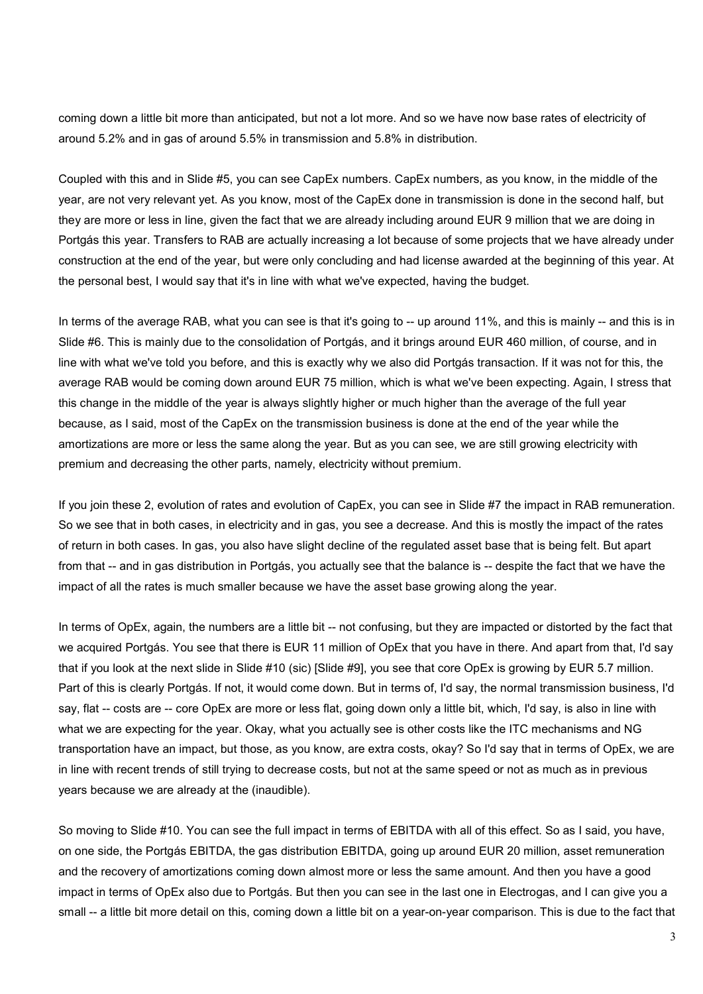coming down a little bit more than anticipated, but not a lot more. And so we have now base rates of electricity of around 5.2% and in gas of around 5.5% in transmission and 5.8% in distribution.

Coupled with this and in Slide #5, you can see CapEx numbers. CapEx numbers, as you know, in the middle of the year, are not very relevant yet. As you know, most of the CapEx done in transmission is done in the second half, but they are more or less in line, given the fact that we are already including around EUR 9 million that we are doing in Portgás this year. Transfers to RAB are actually increasing a lot because of some projects that we have already under construction at the end of the year, but were only concluding and had license awarded at the beginning of this year. At the personal best, I would say that it's in line with what we've expected, having the budget.

In terms of the average RAB, what you can see is that it's going to -- up around 11%, and this is mainly -- and this is in Slide #6. This is mainly due to the consolidation of Portgás, and it brings around EUR 460 million, of course, and in line with what we've told you before, and this is exactly why we also did Portgás transaction. If it was not for this, the average RAB would be coming down around EUR 75 million, which is what we've been expecting. Again, I stress that this change in the middle of the year is always slightly higher or much higher than the average of the full year because, as I said, most of the CapEx on the transmission business is done at the end of the year while the amortizations are more or less the same along the year. But as you can see, we are still growing electricity with premium and decreasing the other parts, namely, electricity without premium.

If you join these 2, evolution of rates and evolution of CapEx, you can see in Slide #7 the impact in RAB remuneration. So we see that in both cases, in electricity and in gas, you see a decrease. And this is mostly the impact of the rates of return in both cases. In gas, you also have slight decline of the regulated asset base that is being felt. But apart from that -- and in gas distribution in Portgás, you actually see that the balance is -- despite the fact that we have the impact of all the rates is much smaller because we have the asset base growing along the year.

In terms of OpEx, again, the numbers are a little bit -- not confusing, but they are impacted or distorted by the fact that we acquired Portgás. You see that there is EUR 11 million of OpEx that you have in there. And apart from that, I'd say that if you look at the next slide in Slide #10 (sic) [Slide #9], you see that core OpEx is growing by EUR 5.7 million. Part of this is clearly Portgás. If not, it would come down. But in terms of, I'd say, the normal transmission business, I'd say, flat -- costs are -- core OpEx are more or less flat, going down only a little bit, which, I'd say, is also in line with what we are expecting for the year. Okay, what you actually see is other costs like the ITC mechanisms and NG transportation have an impact, but those, as you know, are extra costs, okay? So I'd say that in terms of OpEx, we are in line with recent trends of still trying to decrease costs, but not at the same speed or not as much as in previous years because we are already at the (inaudible).

So moving to Slide #10. You can see the full impact in terms of EBITDA with all of this effect. So as I said, you have, on one side, the Portgás EBITDA, the gas distribution EBITDA, going up around EUR 20 million, asset remuneration and the recovery of amortizations coming down almost more or less the same amount. And then you have a good impact in terms of OpEx also due to Portgás. But then you can see in the last one in Electrogas, and I can give you a small -- a little bit more detail on this, coming down a little bit on a year-on-year comparison. This is due to the fact that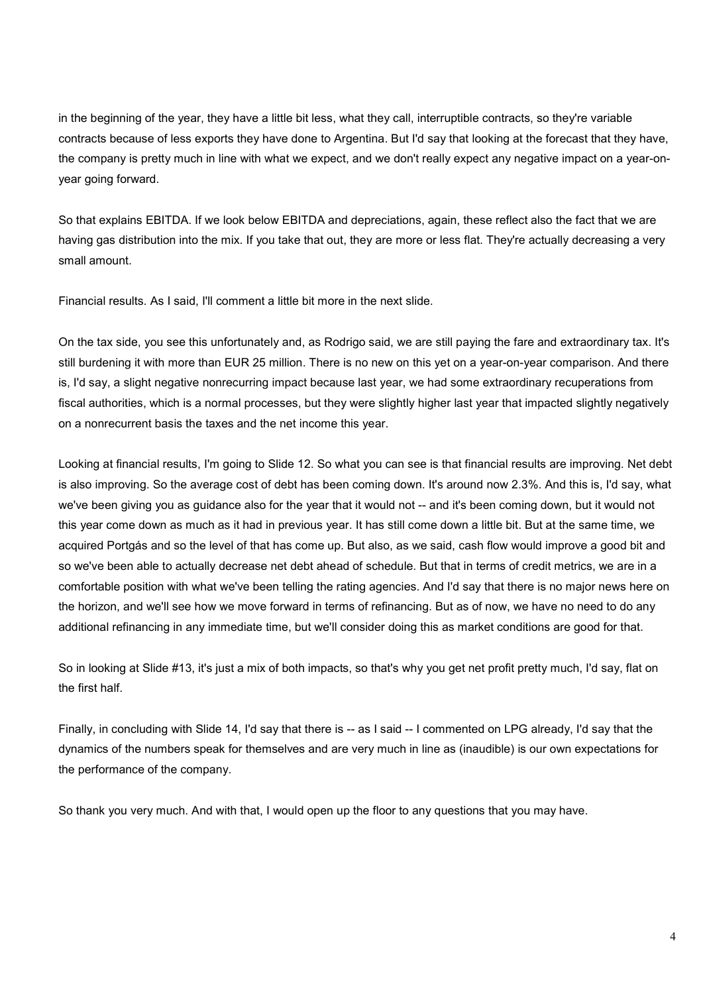in the beginning of the year, they have a little bit less, what they call, interruptible contracts, so they're variable contracts because of less exports they have done to Argentina. But I'd say that looking at the forecast that they have, the company is pretty much in line with what we expect, and we don't really expect any negative impact on a year-onyear going forward.

So that explains EBITDA. If we look below EBITDA and depreciations, again, these reflect also the fact that we are having gas distribution into the mix. If you take that out, they are more or less flat. They're actually decreasing a very small amount.

Financial results. As I said, I'll comment a little bit more in the next slide.

On the tax side, you see this unfortunately and, as Rodrigo said, we are still paying the fare and extraordinary tax. It's still burdening it with more than EUR 25 million. There is no new on this yet on a year-on-year comparison. And there is, I'd say, a slight negative nonrecurring impact because last year, we had some extraordinary recuperations from fiscal authorities, which is a normal processes, but they were slightly higher last year that impacted slightly negatively on a nonrecurrent basis the taxes and the net income this year.

Looking at financial results, I'm going to Slide 12. So what you can see is that financial results are improving. Net debt is also improving. So the average cost of debt has been coming down. It's around now 2.3%. And this is, I'd say, what we've been giving you as guidance also for the year that it would not -- and it's been coming down, but it would not this year come down as much as it had in previous year. It has still come down a little bit. But at the same time, we acquired Portgás and so the level of that has come up. But also, as we said, cash flow would improve a good bit and so we've been able to actually decrease net debt ahead of schedule. But that in terms of credit metrics, we are in a comfortable position with what we've been telling the rating agencies. And I'd say that there is no major news here on the horizon, and we'll see how we move forward in terms of refinancing. But as of now, we have no need to do any additional refinancing in any immediate time, but we'll consider doing this as market conditions are good for that.

So in looking at Slide #13, it's just a mix of both impacts, so that's why you get net profit pretty much, I'd say, flat on the first half.

Finally, in concluding with Slide 14, I'd say that there is -- as I said -- I commented on LPG already, I'd say that the dynamics of the numbers speak for themselves and are very much in line as (inaudible) is our own expectations for the performance of the company.

So thank you very much. And with that, I would open up the floor to any questions that you may have.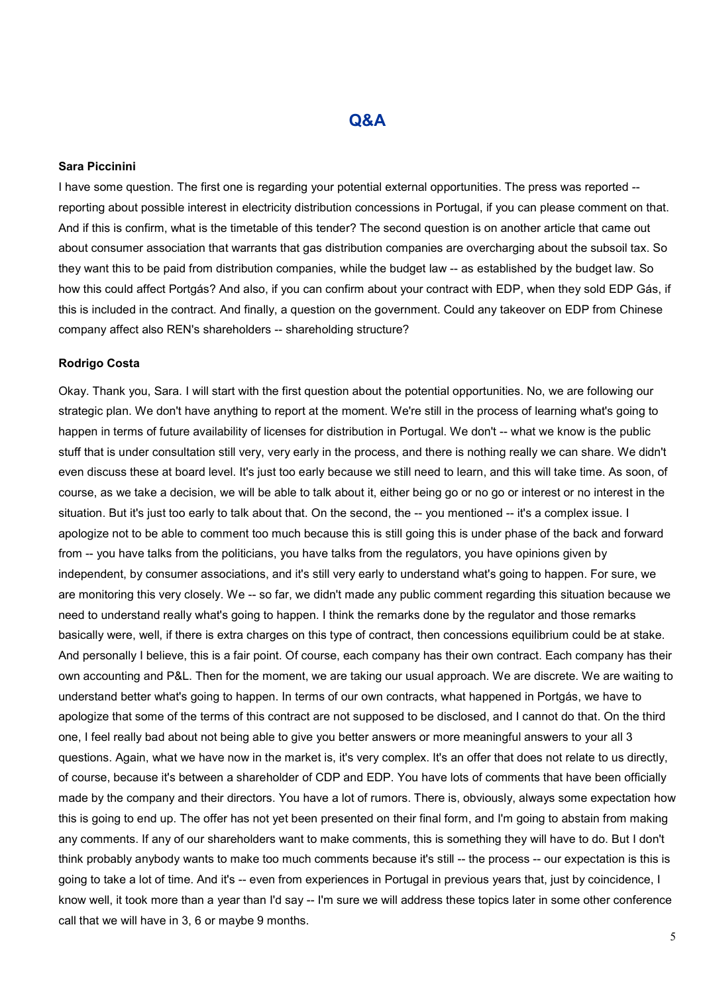## Q&A

#### Sara Piccinini

I have some question. The first one is regarding your potential external opportunities. The press was reported - reporting about possible interest in electricity distribution concessions in Portugal, if you can please comment on that. And if this is confirm, what is the timetable of this tender? The second question is on another article that came out about consumer association that warrants that gas distribution companies are overcharging about the subsoil tax. So they want this to be paid from distribution companies, while the budget law -- as established by the budget law. So how this could affect Portgás? And also, if you can confirm about your contract with EDP, when they sold EDP Gás, if this is included in the contract. And finally, a question on the government. Could any takeover on EDP from Chinese company affect also REN's shareholders -- shareholding structure?

#### Rodrigo Costa

Okay. Thank you, Sara. I will start with the first question about the potential opportunities. No, we are following our strategic plan. We don't have anything to report at the moment. We're still in the process of learning what's going to happen in terms of future availability of licenses for distribution in Portugal. We don't -- what we know is the public stuff that is under consultation still very, very early in the process, and there is nothing really we can share. We didn't even discuss these at board level. It's just too early because we still need to learn, and this will take time. As soon, of course, as we take a decision, we will be able to talk about it, either being go or no go or interest or no interest in the situation. But it's just too early to talk about that. On the second, the -- you mentioned -- it's a complex issue. I apologize not to be able to comment too much because this is still going this is under phase of the back and forward from -- you have talks from the politicians, you have talks from the regulators, you have opinions given by independent, by consumer associations, and it's still very early to understand what's going to happen. For sure, we are monitoring this very closely. We -- so far, we didn't made any public comment regarding this situation because we need to understand really what's going to happen. I think the remarks done by the regulator and those remarks basically were, well, if there is extra charges on this type of contract, then concessions equilibrium could be at stake. And personally I believe, this is a fair point. Of course, each company has their own contract. Each company has their own accounting and P&L. Then for the moment, we are taking our usual approach. We are discrete. We are waiting to understand better what's going to happen. In terms of our own contracts, what happened in Portgás, we have to apologize that some of the terms of this contract are not supposed to be disclosed, and I cannot do that. On the third one, I feel really bad about not being able to give you better answers or more meaningful answers to your all 3 questions. Again, what we have now in the market is, it's very complex. It's an offer that does not relate to us directly, of course, because it's between a shareholder of CDP and EDP. You have lots of comments that have been officially made by the company and their directors. You have a lot of rumors. There is, obviously, always some expectation how this is going to end up. The offer has not yet been presented on their final form, and I'm going to abstain from making any comments. If any of our shareholders want to make comments, this is something they will have to do. But I don't think probably anybody wants to make too much comments because it's still -- the process -- our expectation is this is going to take a lot of time. And it's -- even from experiences in Portugal in previous years that, just by coincidence, I know well, it took more than a year than I'd say -- I'm sure we will address these topics later in some other conference call that we will have in 3, 6 or maybe 9 months.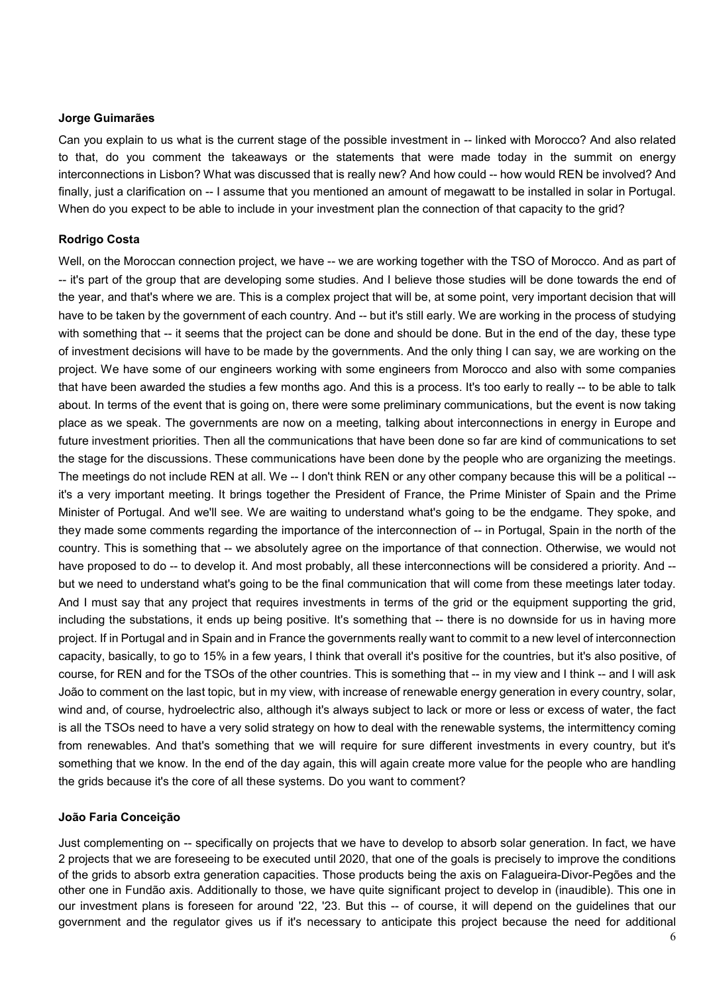#### Jorge Guimarães

Can you explain to us what is the current stage of the possible investment in -- linked with Morocco? And also related to that, do you comment the takeaways or the statements that were made today in the summit on energy interconnections in Lisbon? What was discussed that is really new? And how could -- how would REN be involved? And finally, just a clarification on -- I assume that you mentioned an amount of megawatt to be installed in solar in Portugal. When do you expect to be able to include in your investment plan the connection of that capacity to the grid?

#### Rodrigo Costa

Well, on the Moroccan connection project, we have -- we are working together with the TSO of Morocco. And as part of -- it's part of the group that are developing some studies. And I believe those studies will be done towards the end of the year, and that's where we are. This is a complex project that will be, at some point, very important decision that will have to be taken by the government of each country. And -- but it's still early. We are working in the process of studying with something that -- it seems that the project can be done and should be done. But in the end of the day, these type of investment decisions will have to be made by the governments. And the only thing I can say, we are working on the project. We have some of our engineers working with some engineers from Morocco and also with some companies that have been awarded the studies a few months ago. And this is a process. It's too early to really -- to be able to talk about. In terms of the event that is going on, there were some preliminary communications, but the event is now taking place as we speak. The governments are now on a meeting, talking about interconnections in energy in Europe and future investment priorities. Then all the communications that have been done so far are kind of communications to set the stage for the discussions. These communications have been done by the people who are organizing the meetings. The meetings do not include REN at all. We -- I don't think REN or any other company because this will be a political -it's a very important meeting. It brings together the President of France, the Prime Minister of Spain and the Prime Minister of Portugal. And we'll see. We are waiting to understand what's going to be the endgame. They spoke, and they made some comments regarding the importance of the interconnection of -- in Portugal, Spain in the north of the country. This is something that -- we absolutely agree on the importance of that connection. Otherwise, we would not have proposed to do -- to develop it. And most probably, all these interconnections will be considered a priority. And - but we need to understand what's going to be the final communication that will come from these meetings later today. And I must say that any project that requires investments in terms of the grid or the equipment supporting the grid, including the substations, it ends up being positive. It's something that -- there is no downside for us in having more project. If in Portugal and in Spain and in France the governments really want to commit to a new level of interconnection capacity, basically, to go to 15% in a few years, I think that overall it's positive for the countries, but it's also positive, of course, for REN and for the TSOs of the other countries. This is something that -- in my view and I think -- and I will ask João to comment on the last topic, but in my view, with increase of renewable energy generation in every country, solar, wind and, of course, hydroelectric also, although it's always subject to lack or more or less or excess of water, the fact is all the TSOs need to have a very solid strategy on how to deal with the renewable systems, the intermittency coming from renewables. And that's something that we will require for sure different investments in every country, but it's something that we know. In the end of the day again, this will again create more value for the people who are handling the grids because it's the core of all these systems. Do you want to comment?

#### João Faria Conceição

Just complementing on -- specifically on projects that we have to develop to absorb solar generation. In fact, we have 2 projects that we are foreseeing to be executed until 2020, that one of the goals is precisely to improve the conditions of the grids to absorb extra generation capacities. Those products being the axis on Falagueira-Divor-Pegões and the other one in Fundão axis. Additionally to those, we have quite significant project to develop in (inaudible). This one in our investment plans is foreseen for around '22, '23. But this -- of course, it will depend on the guidelines that our government and the regulator gives us if it's necessary to anticipate this project because the need for additional